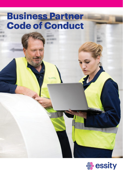# **Business Partner Code of Conduct**

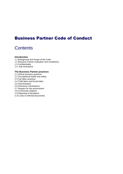# Business Partner Code of Conduct

# **Contents**

# **Introduction**

- 1.1 Background and Scope of the Code
- 1.2 Business Partner evaluation and compliance
- 1.3 Confidentiality
- 1.4. Sub-contractors

# **The Business Partner practices**

- 2.1 Ethical business practices
- 2.2 Occupational health and safety
- 2.3 Fair labor practices
- 2.4 Child labor and forced labor
- 2.5 Discrimination
- 2.6 Grievance mechanisms
- 2.7 Respect for the environment
- 2.8 Community relations
- 2.9 Reporting of deviations
- 2.10 Links to referred documents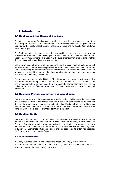# 1. Introduction

# 1.1 Background and Scope of the Code

This Code is applicable for distributors, wholesalers, resellers, sales agents and other business partners (each a "Business Partner"). For Essity suppliers the Supplier Code of Conduct in the Essity Global Supplier Standard applies and for Essity Joint ventures other rules apply.

The Code comprises the requirements for responsible business operations with which Business Partners to Essity must comply. It refers to international standards and defines specific Essity requirements. This Code may be supplemented from time-to-time by other documents containing additional requirements.

Essity's own Code of Conduct defines the principles that Essity regards as fundamental for business ethics and socially responsible behavior. It also constitutes the basis for this Code, addressing requirements that Business Partners to Essity must satisfy within the areas of business ethics, human rights, health and safety, employee relations, business practices and community involvement.

Essity is a member of the United Nations Global Compact, which consists of 10 principles in the areas of human rights, labor standards, the environment and anti-corruption. The Essity requirements are mainly based on internationally agreed standards such as the Universal Declaration of Human Rights and ILO Core Conventions, but also on national legislation.

# 1.2 Business Partner evaluation and compliance

Essity or an external auditing company, selected by Essity, shall have the right to assess the Business Partner´s compliance with this Code and gain access to all relevant documents, premises and information without delay. Essity will inform the Business Partner on date, time, location and modalities of the audit beforehand taking, due consideration of the Business Partner's commercial interest.

# 1.3 Confidentiality

Essity may disclose certain of its confidential information to Business Partners during the course of their business relationship. The Business Partner may only provide access to Essity confidential information to persons within its organization having a need to know the information in connection with performance by the Business Partner of its obligations to Essity. As appropriate, Business Partner may be requested to enter into separate confidentiality agreements with Essity.

# 1.4 Sub-contractors

All Essity Business Partners are expected to adopt and comply with the ethical business standards and values set out in this Code, and to actively use such standards when dealing with their own (sub-)contractors.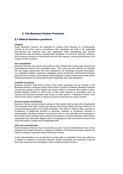# 2. The Business Partner Practices

# 2.1 Ethical business practices

#### **Integrity**

Essity Business Partners are expected to conduct their business in a professional manner at all times, and in accordance with standards set forth in all applicable international and national laws and regulations while recognizing that Essity's requirements may sometimes exceed those standards. At minimum, Business Partners and all persons acting on there behalf must act with integrity, honesty and fairness in all aspects of their business.

#### **Fair Competition**

Business Partners and all persons acting on their behalf shall comply with national and supranational antitrust and competition laws. They shall not enter directly or indirectly into any illegal agreements with their competitors nor exchange sensitive information, e.g. regarding markets, customers, strategies, prices and the like. All Business Partners and all persons acting on their behalf shall participate in public tenders and private sector bidding procedures by strictly following the applicable laws and regulations.

#### **Conflicts of Interest**

Business Partners shall inform Essity if any Essity employee has an interest in the Business Partner's business which might cause a conflict of interest. Business Partners and persons acting on their behalf must avoid conflicts of interest with respect to their; private activities, entities in which they or their close relatives or associates have an interest, and business activities with Essity or other parties. A Business Partner must inform Essity about conflicts of interest as soon as they become aware of them.

#### **Anti-Corruption and Bribery**

Business Partners and all persons acting on their behalf shall comply with all applicable anti-corruption laws while conducting business with Essity. Bribery and any other form of corrupt business practice are strictly prohibited. The direct or indirect offer, granting or acceptance of illegitimate benefits to generate, maintain or accelerate business is unacceptable. Business Partners must ensure that no such benefits are exchanged in the course of their and their sub-contractors businesses. Business Partners shall conduct appropriate risk-based due diligence prior to engaging any sub-contractors to ensure that such third parties comply with all applicable laws.

#### **Gifts and entertainment**

Essity Business Partners must not provide any gift, meal or entertainment to an Essity employee that might influence, or appear to influence, the Essity employee's decision in relation to Essity's business with the Business Partner.

Essity representatives are not allowed to accept gifts or hospitality if this may influence or appear to influence a business decision. Essity employees are expected to pay for their own travel and accommodation when visiting Business Partners.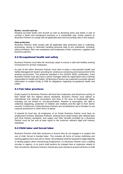#### **Books, records and tax**

Keeping accurate books and records as well as declaring taxes and duties is part of running a lawful and transparent business in a sustainable way. Essity expects its Business Partners to comply with all applicable laws and accounting rules in this respect.

#### **Data protection**

Business Partners shall comply with all applicable data protection laws in collecting, processing, storing or otherwise handling personal data of any individuals, including, without limitation, their own employees and employees of their customers, suppliers and business partners.

# 2.2 Occupational health and safety

Business Partners must take the necessary steps to ensure a safe and healthy working environment for all their employees.

As part of this effort, Business Partner must have in place a documented Health and Safety Management System providing for continuous monitoring and improvement of the working environment. The preferred standard is the OHSAS 18001 certification. Each Business Partner must also have a senior manager within its organization who is directly responsible for Health and Safety. All Business Partners are expected to provide relevant information to enable Essity to fulfil its obligations regarding occupational health and safety.

# 2.3 Fair labor practices

Essity expects its Business Partners will treat their employees and all persons acting on their behalf with the highest ethical standards. Business Partner must adhere to international and national conventions and laws in the area of fundamental rights, including, but not limited to, non-discrimination, freedom of association, the right to collective bargaining, protection of children and mothers and the right to form works' councils. Furthermore, Essity Business Partners are not allowed to use or threaten to use corporal punishment or other forms of abuse.

If required by local law, all employees of an Essity Business Partner must have an employment contract. Business Partners' working hours shall comply with national laws and local industry standards, and wages and other benefits provided by a Business Partner must be fair and at least equal to the minimum relevant legal and industry standards.

# 2.4 Child labor and forced labor

Business Partners shall take measures to ensure they do not engage in or support the use of child, forced or bonded labor. This includes all forms of human trafficking and working against one's own will or choice. No employee shall be required to lodge deposits or identity papers when commencing employment. If a Business Partner uses a staffing recruiter or agency, in no event shall workers be charged fees or expenses related to their recruitment. Business Partners should also work actively to prevent all forms of child